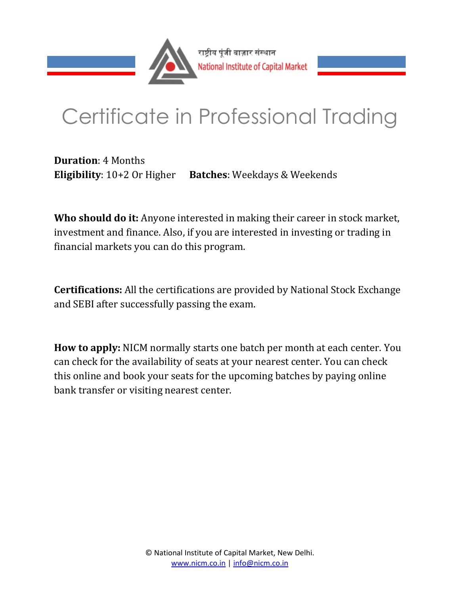

# Certificate in Professional Trading

**Duration**: 4 Months **Eligibility**: 10+2 Or Higher **Batches**: Weekdays & Weekends

**Who should do it:** Anyone interested in making their career in stock market, investment and finance. Also, if you are interested in investing or trading in financial markets you can do this program.

**Certifications:** All the certifications are provided by National Stock Exchange and SEBI after successfully passing the exam.

**How to apply:** NICM normally starts one batch per month at each center. You can check for the availability of seats at your nearest center. You can check this online and book your seats for the upcoming batches by paying online bank transfer or visiting nearest center.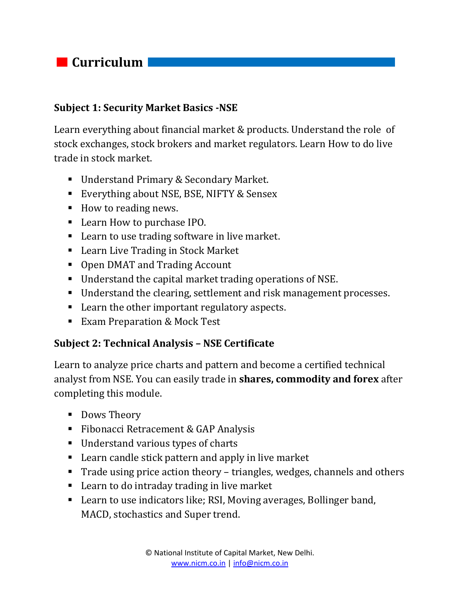# *Curriculum*

#### **Subject 1: Security Market Basics -NSE**

Learn everything about financial market & products. Understand the role of stock exchanges, stock brokers and market regulators. Learn How to do live trade in stock market.

- Understand Primary & Secondary Market.
- Everything about NSE, BSE, NIFTY & Sensex
- How to reading news.
- Learn How to purchase IPO.
- Learn to use trading software in live market.
- Learn Live Trading in Stock Market
- Open DMAT and Trading Account
- Understand the capital market trading operations of NSE.
- Understand the clearing, settlement and risk management processes.
- Learn the other important regulatory aspects.
- **Exam Preparation & Mock Test**

#### **Subject 2: Technical Analysis – NSE Certificate**

Learn to analyze price charts and pattern and become a certified technical analyst from NSE. You can easily trade in **shares, commodity and forex** after completing this module.

- Dows Theory
- Fibonacci Retracement & GAP Analysis
- Understand various types of charts
- Learn candle stick pattern and apply in live market
- Trade using price action theory triangles, wedges, channels and others
- Learn to do intraday trading in live market
- Learn to use indicators like; RSI, Moving averages, Bollinger band, MACD, stochastics and Super trend.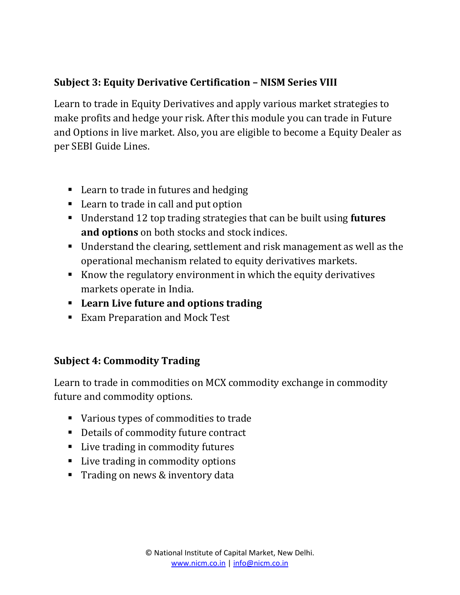## **Subject 3: Equity Derivative Certification – NISM Series VIII**

Learn to trade in Equity Derivatives and apply various market strategies to make profits and hedge your risk. After this module you can trade in Future and Options in live market. Also, you are eligible to become a Equity Dealer as per SEBI Guide Lines.

- Learn to trade in futures and hedging
- Learn to trade in call and put option
- Understand 12 top trading strategies that can be built using **futures and options** on both stocks and stock indices.
- Understand the clearing, settlement and risk management as well as the operational mechanism related to equity derivatives markets.
- Know the regulatory environment in which the equity derivatives markets operate in India.
- **Learn Live future and options trading**
- **Exam Preparation and Mock Test**

### **Subject 4: Commodity Trading**

Learn to trade in commodities on MCX commodity exchange in commodity future and commodity options.

- Various types of commodities to trade
- Details of commodity future contract
- Live trading in commodity futures
- Live trading in commodity options
- **Trading on news & inventory data**